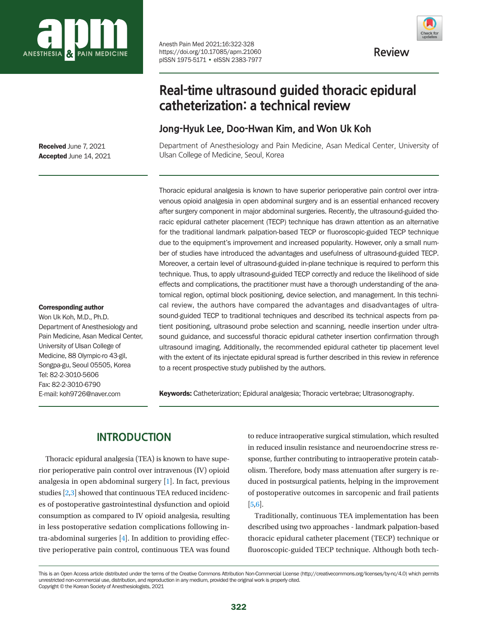

Anesth Pain Med 2021;16:322-328 https://doi.org/10.17085/apm.21060 pISSN 1975-5171 • eISSN 2383-7977



**Review**

# **Real-time ultrasound guided thoracic epidural catheterization: a technical review**

**Jong-Hyuk Lee, Doo-Hwan Kim, and Won Uk Koh** 

Department of Anesthesiology and Pain Medicine, Asan Medical Center, University of Ulsan College of Medicine, Seoul, Korea

Thoracic epidural analgesia is known to have superior perioperative pain control over intravenous opioid analgesia in open abdominal surgery and is an essential enhanced recovery after surgery component in major abdominal surgeries. Recently, the ultrasound-guided thoracic epidural catheter placement (TECP) technique has drawn attention as an alternative for the traditional landmark palpation-based TECP or fluoroscopic-guided TECP technique due to the equipment's improvement and increased popularity. However, only a small number of studies have introduced the advantages and usefulness of ultrasound-guided TECP. Moreover, a certain level of ultrasound-guided in-plane technique is required to perform this technique. Thus, to apply ultrasound-guided TECP correctly and reduce the likelihood of side effects and complications, the practitioner must have a thorough understanding of the anatomical region, optimal block positioning, device selection, and management. In this technical review, the authors have compared the advantages and disadvantages of ultrasound-guided TECP to traditional techniques and described its technical aspects from patient positioning, ultrasound probe selection and scanning, needle insertion under ultrasound guidance, and successful thoracic epidural catheter insertion confirmation through ultrasound imaging. Additionally, the recommended epidural catheter tip placement level with the extent of its injectate epidural spread is further described in this review in reference to a recent prospective study published by the authors.

Keywords: Catheterization; Epidural analgesia; Thoracic vertebrae; Ultrasonography.

## **INTRODUCTION**

Thoracic epidural analgesia (TEA) is known to have superior perioperative pain control over intravenous (IV) opioid analgesia in open abdominal surgery [[1\]](#page-5-0). In fact, previous studies [\[2](#page-5-1)[,3\]](#page-5-2) showed that continuous TEA reduced incidences of postoperative gastrointestinal dysfunction and opioid consumption as compared to IV opioid analgesia, resulting in less postoperative sedation complications following intra-abdominal surgeries [\[4](#page-5-3)]. In addition to providing effective perioperative pain control, continuous TEA was found

to reduce intraoperative surgical stimulation, which resulted in reduced insulin resistance and neuroendocrine stress response, further contributing to intraoperative protein catabolism. Therefore, body mass attenuation after surgery is reduced in postsurgical patients, helping in the improvement of postoperative outcomes in sarcopenic and frail patients [\[5](#page-5-4),[6](#page-5-5)].

Traditionally, continuous TEA implementation has been described using two approaches - landmark palpation-based thoracic epidural catheter placement (TECP) technique or fluoroscopic-guided TECP technique. Although both tech-

#### Corresponding author

Won Uk Koh, M.D., Ph.D. Department of Anesthesiology and Pain Medicine, Asan Medical Center, University of Ulsan College of Medicine, 88 Olympic-ro 43-gil, Songpa-gu, Seoul 05505, Korea Tel: 82-2-3010-5606 Fax: 82-2-3010-6790 E-mail: koh9726@naver.com

Received June 7, 2021 Accepted June 14, 2021

This is an Open Access article distributed under the terms of the Creative Commons Attribution Non-Commercial License (http://creativecommons.org/licenses/by-nc/4.0) which permits unrestricted non-commercial use, distribution, and reproduction in any medium, provided the original work is properly cited. Copyright © the Korean Society of Anesthesiologists, 2021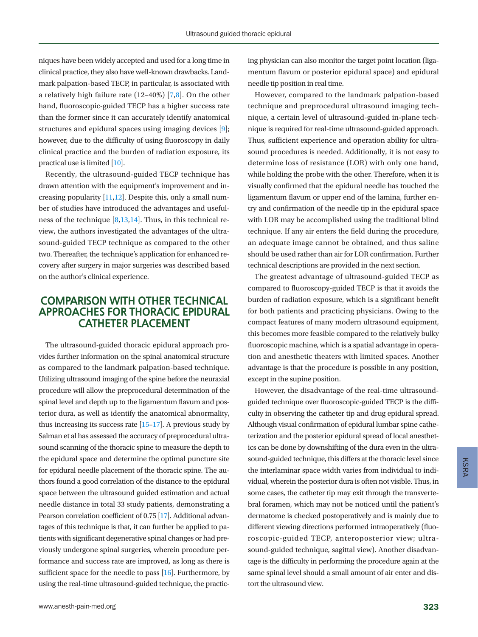niques have been widely accepted and used for a long time in clinical practice, they also have well-known drawbacks. Landmark palpation-based TECP, in particular, is associated with a relatively high failure rate (12–40%) [\[7](#page-5-6)[,8\]](#page-5-3). On the other hand, fluoroscopic-guided TECP has a higher success rate than the former since it can accurately identify anatomical structures and epidural spaces using imaging devices [\[9\]](#page-6-0); however, due to the difficulty of using fluoroscopy in daily clinical practice and the burden of radiation exposure, its practical use is limited [\[10\]](#page-6-1).

Recently, the ultrasound-guided TECP technique has drawn attention with the equipment's improvement and increasing popularity [\[11](#page-6-2),[12](#page-6-0)]. Despite this, only a small number of studies have introduced the advantages and usefulness of the technique [[8](#page-5-3)[,13](#page-6-3)[,14\]](#page-6-1). Thus, in this technical review, the authors investigated the advantages of the ultrasound-guided TECP technique as compared to the other two. Thereafter, the technique's application for enhanced recovery after surgery in major surgeries was described based on the author's clinical experience.

## **COMPARISON WITH OTHER TECHNICAL APPROACHES FOR THORACIC EPIDURAL CATHETER PLACEMENT**

The ultrasound-guided thoracic epidural approach provides further information on the spinal anatomical structure as compared to the landmark palpation-based technique. Utilizing ultrasound imaging of the spine before the neuraxial procedure will allow the preprocedural determination of the spinal level and depth up to the ligamentum flavum and posterior dura, as well as identify the anatomical abnormality, thus increasing its success rate  $[15-17]$  $[15-17]$ . A previous study by Salman et al has assessed the accuracy of preprocedural ultrasound scanning of the thoracic spine to measure the depth to the epidural space and determine the optimal puncture site for epidural needle placement of the thoracic spine. The authors found a good correlation of the distance to the epidural space between the ultrasound guided estimation and actual needle distance in total 33 study patients, demonstrating a Pearson correlation coefficient of 0.75 [\[17\]](#page-6-5). Additional advantages of this technique is that, it can further be applied to patients with significant degenerative spinal changes or had previously undergone spinal surgeries, wherein procedure performance and success rate are improved, as long as there is sufficient space for the needle to pass [\[16](#page-6-6)]. Furthermore, by using the real-time ultrasound-guided technique, the practicing physician can also monitor the target point location (ligamentum flavum or posterior epidural space) and epidural needle tip position in real time.

However, compared to the landmark palpation-based technique and preprocedural ultrasound imaging technique, a certain level of ultrasound-guided in-plane technique is required for real-time ultrasound-guided approach. Thus, sufficient experience and operation ability for ultrasound procedures is needed. Additionally, it is not easy to determine loss of resistance (LOR) with only one hand, while holding the probe with the other. Therefore, when it is visually confirmed that the epidural needle has touched the ligamentum flavum or upper end of the lamina, further entry and confirmation of the needle tip in the epidural space with LOR may be accomplished using the traditional blind technique. If any air enters the field during the procedure, an adequate image cannot be obtained, and thus saline should be used rather than air for LOR confirmation. Further technical descriptions are provided in the next section.

The greatest advantage of ultrasound-guided TECP as compared to fluoroscopy-guided TECP is that it avoids the burden of radiation exposure, which is a significant benefit for both patients and practicing physicians. Owing to the compact features of many modern ultrasound equipment, this becomes more feasible compared to the relatively bulky fluoroscopic machine, which is a spatial advantage in operation and anesthetic theaters with limited spaces. Another advantage is that the procedure is possible in any position, except in the supine position.

However, the disadvantage of the real-time ultrasoundguided technique over fluoroscopic-guided TECP is the difficulty in observing the catheter tip and drug epidural spread. Although visual confirmation of epidural lumbar spine catheterization and the posterior epidural spread of local anesthetics can be done by downshifting of the dura even in the ultrasound-guided technique, this differs at the thoracic level since the interlaminar space width varies from individual to individual, wherein the posterior dura is often not visible. Thus, in some cases, the catheter tip may exit through the transvertebral foramen, which may not be noticed until the patient's dermatome is checked postoperatively and is mainly due to different viewing directions performed intraoperatively (fluoroscopic-guided TECP, anteroposterior view; ultrasound-guided technique, sagittal view). Another disadvantage is the difficulty in performing the procedure again at the same spinal level should a small amount of air enter and distort the ultrasound view.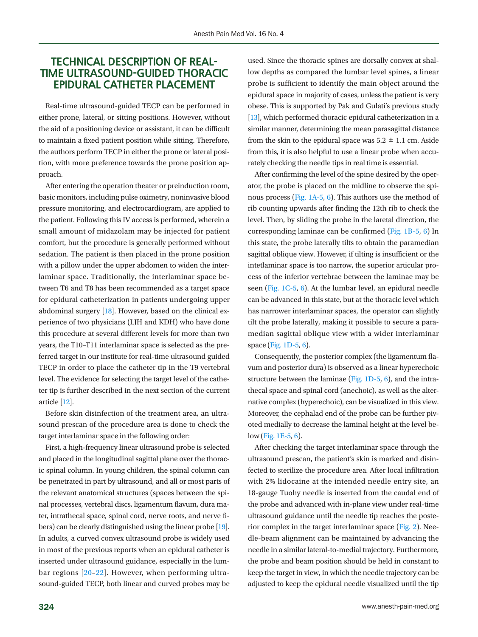### **TECHNICAL DESCRIPTION OF REAL-TIME ULTRASOUND-GUIDED THORACIC EPIDURAL CATHETER PLACEMENT**

Real-time ultrasound-guided TECP can be performed in either prone, lateral, or sitting positions. However, without the aid of a positioning device or assistant, it can be difficult to maintain a fixed patient position while sitting. Therefore, the authors perform TECP in either the prone or lateral position, with more preference towards the prone position approach.

After entering the operation theater or preinduction room, basic monitors, including pulse oximetry, noninvasive blood pressure monitoring, and electrocardiogram, are applied to the patient. Following this IV access is performed, wherein a small amount of midazolam may be injected for patient comfort, but the procedure is generally performed without sedation. The patient is then placed in the prone position with a pillow under the upper abdomen to widen the interlaminar space. Traditionally, the interlaminar space between T6 and T8 has been recommended as a target space for epidural catheterization in patients undergoing upper abdominal surgery [\[18](#page-6-7)]. However, based on the clinical experience of two physicians (LJH and KDH) who have done this procedure at several different levels for more than two years, the T10–T11 interlaminar space is selected as the preferred target in our institute for real-time ultrasound guided TECP in order to place the catheter tip in the T9 vertebral level. The evidence for selecting the target level of the catheter tip is further described in the next section of the current article [12].

Before skin disinfection of the treatment area, an ultrasound prescan of the procedure area is done to check the target interlaminar space in the following order:

First, a high-frequency linear ultrasound probe is selected and placed in the longitudinal sagittal plane over the thoracic spinal column. In young children, the spinal column can be penetrated in part by ultrasound, and all or most parts of the relevant anatomical structures (spaces between the spinal processes, vertebral discs, ligamentum flavum, dura mater, intrathecal space, spinal cord, nerve roots, and nerve fibers) can be clearly distinguished using the linear probe [\[19](#page-6-8)]. In adults, a curved convex ultrasound probe is widely used in most of the previous reports when an epidural catheter is inserted under ultrasound guidance, especially in the lumbar regions [\[20](#page-6-9)[–22\]](#page-6-10). However, when performing ultrasound-guided TECP, both linear and curved probes may be

used. Since the thoracic spines are dorsally convex at shallow depths as compared the lumbar level spines, a linear probe is sufficient to identify the main object around the epidural space in majority of cases, unless the patient is very obese. This is supported by Pak and Gulati's previous study [13], which performed thoracic epidural catheterization in a similar manner, determining the mean parasagittal distance from the skin to the epidural space was  $5.2 \pm 1.1$  cm. Aside from this, it is also helpful to use a linear probe when accurately checking the needle tips in real time is essential.

After confirming the level of the spine desired by the operator, the probe is placed on the midline to observe the spinous process [\(Fig. 1A-5, 6](#page-3-0)). This authors use the method of rib counting upwards after finding the 12th rib to check the level. Then, by sliding the probe in the laretal direction, the corresponding laminae can be confirmed [\(Fig. 1B-5, 6](#page-3-0)) In this state, the probe laterally tilts to obtain the paramedian sagittal oblique view. However, if tilting is insufficient or the intetlaminar space is too narrow, the superior articular process of the inferior vertebrae between the laminae may be seen ([Fig. 1C-5, 6](#page-3-0)). At the lumbar level, an epidural needle can be advanced in this state, but at the thoracic level which has narrower interlaminar spaces, the operator can slightly tilt the probe laterally, making it possible to secure a paramedian sagittal oblique view with a wider interlaminar space ([Fig. 1D-5, 6](#page-3-0)).

Consequently, the posterior complex (the ligamentum flavum and posterior dura) is observed as a linear hyperechoic structure between the laminae ([Fig. 1D-5, 6](#page-3-0)), and the intrathecal space and spinal cord (anechoic), as well as the alternative complex (hyperechoic), can be visualized in this view. Moreover, the cephalad end of the probe can be further pivoted medially to decrease the laminal height at the level below [\(Fig. 1E-5, 6](#page-3-0)).

After checking the target interlaminar space through the ultrasound prescan, the patient's skin is marked and disinfected to sterilize the procedure area. After local infiltration with 2% lidocaine at the intended needle entry site, an 18-gauge Tuohy needle is inserted from the caudal end of the probe and advanced with in-plane view under real-time ultrasound guidance until the needle tip reaches the posterior complex in the target interlaminar space [\(Fig. 2](#page-4-0)). Needle-beam alignment can be maintained by advancing the needle in a similar lateral-to-medial trajectory. Furthermore, the probe and beam position should be held in constant to keep the target in view, in which the needle trajectory can be adjusted to keep the epidural needle visualized until the tip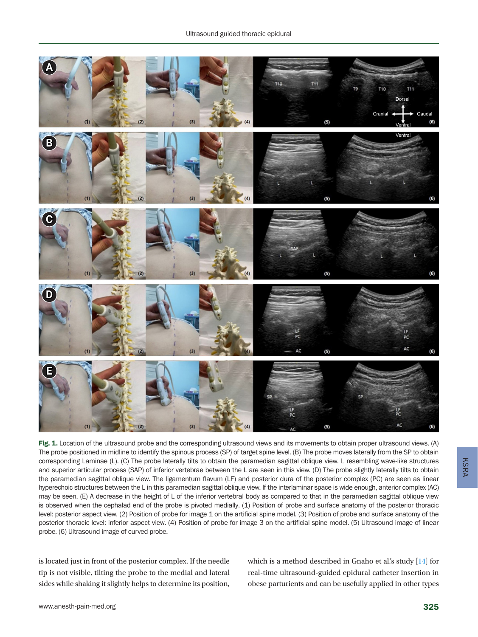<span id="page-3-0"></span>

Fig. 1. Location of the ultrasound probe and the corresponding ultrasound views and its movements to obtain proper ultrasound views. (A) The probe positioned in midline to identify the spinous process (SP) of target spine level. (B) The probe moves laterally from the SP to obtain corresponding Laminae (L). (C) The probe laterally tilts to obtain the paramedian sagittal oblique view. L resembling wave-like structures and superior articular process (SAP) of inferior vertebrae between the L are seen in this view. (D) The probe slightly laterally tilts to obtain the paramedian sagittal oblique view. The ligamentum flavum (LF) and posterior dura of the posterior complex (PC) are seen as linear hyperechoic structures between the L in this paramedian sagittal oblique view. If the interlaminar space is wide enough, anterior complex (AC) may be seen. (E) A decrease in the height of L of the inferior vertebral body as compared to that in the paramedian sagittal oblique view is observed when the cephalad end of the probe is pivoted medially. (1) Position of probe and surface anatomy of the posterior thoracic level: posterior aspect view. (2) Position of probe for image 1 on the artificial spine model. (3) Position of probe and surface anatomy of the posterior thoracic level: inferior aspect view. (4) Position of probe for image 3 on the artificial spine model. (5) Ultrasound image of linear probe. (6) Ultrasound image of curved probe.

is located just in front of the posterior complex. If the needle tip is not visible, tilting the probe to the medial and lateral sides while shaking it slightly helps to determine its position,

which is a method described in Gnaho et al.'s study [14] for real-time ultrasound-guided epidural catheter insertion in obese parturients and can be usefully applied in other types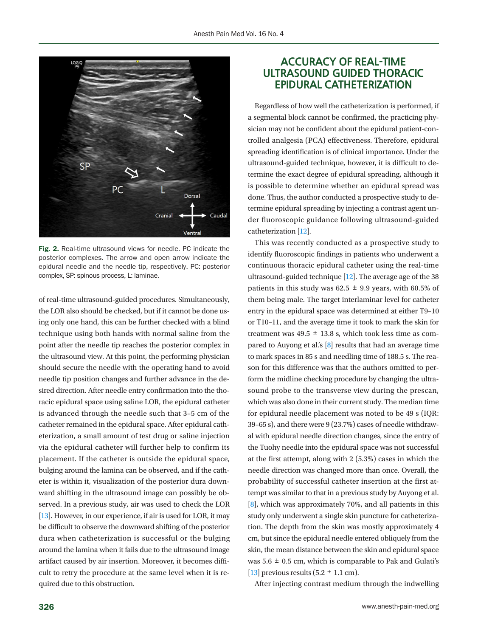<span id="page-4-0"></span>

Fig. 2. Real-time ultrasound views for needle. PC indicate the posterior complexes. The arrow and open arrow indicate the epidural needle and the needle tip, respectively. PC: posterior complex, SP: spinous process, L: laminae.

of real-time ultrasound-guided procedures. Simultaneously, the LOR also should be checked, but if it cannot be done using only one hand, this can be further checked with a blind technique using both hands with normal saline from the point after the needle tip reaches the posterior complex in the ultrasound view. At this point, the performing physician should secure the needle with the operating hand to avoid needle tip position changes and further advance in the desired direction. After needle entry confirmation into the thoracic epidural space using saline LOR, the epidural catheter is advanced through the needle such that 3–5 cm of the catheter remained in the epidural space. After epidural catheterization, a small amount of test drug or saline injection via the epidural catheter will further help to confirm its placement. If the catheter is outside the epidural space, bulging around the lamina can be observed, and if the catheter is within it, visualization of the posterior dura downward shifting in the ultrasound image can possibly be observed. In a previous study, air was used to check the LOR [13]. However, in our experience, if air is used for LOR, it may be difficult to observe the downward shifting of the posterior dura when catheterization is successful or the bulging around the lamina when it fails due to the ultrasound image artifact caused by air insertion. Moreover, it becomes difficult to retry the procedure at the same level when it is required due to this obstruction.

## **ACCURACY OF REAL-TIME ULTRASOUND GUIDED THORACIC EPIDURAL CATHETERIZATION**

Regardless of how well the catheterization is performed, if a segmental block cannot be confirmed, the practicing physician may not be confident about the epidural patient-controlled analgesia (PCA) effectiveness. Therefore, epidural spreading identification is of clinical importance. Under the ultrasound-guided technique, however, it is difficult to determine the exact degree of epidural spreading, although it is possible to determine whether an epidural spread was done. Thus, the author conducted a prospective study to determine epidural spreading by injecting a contrast agent under fluoroscopic guidance following ultrasound-guided catheterization [12].

This was recently conducted as a prospective study to identify fluoroscopic findings in patients who underwent a continuous thoracic epidural catheter using the real-time ultrasound-guided technique [12]. The average age of the 38 patients in this study was  $62.5 \pm 9.9$  years, with  $60.5\%$  of them being male. The target interlaminar level for catheter entry in the epidural space was determined at either T9–10 or T10–11, and the average time it took to mark the skin for treatment was  $49.5 \pm 13.8$  s, which took less time as compared to Auyong et al.'s [8] results that had an average time to mark spaces in 85 s and needling time of 188.5 s. The reason for this difference was that the authors omitted to perform the midline checking procedure by changing the ultrasound probe to the transverse view during the prescan, which was also done in their current study. The median time for epidural needle placement was noted to be 49 s (IQR: 39–65 s), and there were 9 (23.7%) cases of needle withdrawal with epidural needle direction changes, since the entry of the Tuohy needle into the epidural space was not successful at the first attempt, along with 2 (5.3%) cases in which the needle direction was changed more than once. Overall, the probability of successful catheter insertion at the first attempt was similar to that in a previous study by Auyong et al. [8], which was approximately 70%, and all patients in this study only underwent a single skin puncture for catheterization. The depth from the skin was mostly approximately 4 cm, but since the epidural needle entered obliquely from the skin, the mean distance between the skin and epidural space was  $5.6 \pm 0.5$  cm, which is comparable to Pak and Gulati's [13] previous results (5.2  $\pm$  1.1 cm).

After injecting contrast medium through the indwelling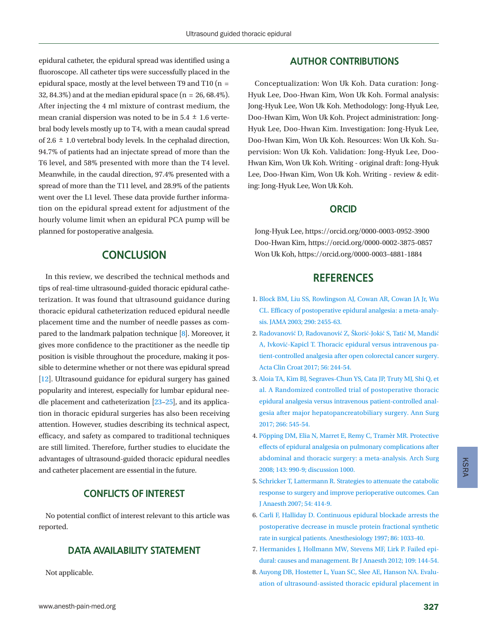epidural catheter, the epidural spread was identified using a fluoroscope. All catheter tips were successfully placed in the epidural space, mostly at the level between T9 and T10 ( $n =$ 32, 84.3%) and at the median epidural space ( $n = 26, 68.4\%$ ). After injecting the 4 ml mixture of contrast medium, the mean cranial dispersion was noted to be in  $5.4 \pm 1.6$  vertebral body levels mostly up to T4, with a mean caudal spread of 2.6  $\pm$  1.0 vertebral body levels. In the cephalad direction, 94.7% of patients had an injectate spread of more than the T6 level, and 58% presented with more than the T4 level. Meanwhile, in the caudal direction, 97.4% presented with a spread of more than the T11 level, and 28.9% of the patients went over the L1 level. These data provide further information on the epidural spread extent for adjustment of the hourly volume limit when an epidural PCA pump will be planned for postoperative analgesia.

#### **CONCLUSION**

In this review, we described the technical methods and tips of real-time ultrasound-guided thoracic epidural catheterization. It was found that ultrasound guidance during thoracic epidural catheterization reduced epidural needle placement time and the number of needle passes as compared to the landmark palpation technique [8]. Moreover, it gives more confidence to the practitioner as the needle tip position is visible throughout the procedure, making it possible to determine whether or not there was epidural spread [12]. Ultrasound guidance for epidural surgery has gained popularity and interest, especially for lumbar epidural needle placement and catheterization [\[23](#page-6-11)[–25\]](#page-6-12), and its application in thoracic epidural surgeries has also been receiving attention. However, studies describing its technical aspect, efficacy, and safety as compared to traditional techniques are still limited. Therefore, further studies to elucidate the advantages of ultrasound-guided thoracic epidural needles and catheter placement are essential in the future.

#### **CONFLICTS OF INTEREST**

No potential conflict of interest relevant to this article was reported.

#### **DATA AVAILABILITY STATEMENT**

Not applicable.

#### **AUTHOR CONTRIBUTIONS**

Conceptualization: Won Uk Koh. Data curation: Jong-Hyuk Lee, Doo-Hwan Kim, Won Uk Koh. Formal analysis: Jong-Hyuk Lee, Won Uk Koh. Methodology: Jong-Hyuk Lee, Doo-Hwan Kim, Won Uk Koh. Project administration: Jong-Hyuk Lee, Doo-Hwan Kim. Investigation: Jong-Hyuk Lee, Doo-Hwan Kim, Won Uk Koh. Resources: Won Uk Koh. Supervision: Won Uk Koh. Validation: Jong-Hyuk Lee, Doo-Hwan Kim, Won Uk Koh. Writing - original draft: Jong-Hyuk Lee, Doo-Hwan Kim, Won Uk Koh. Writing - review & editing: Jong-Hyuk Lee, Won Uk Koh.

#### **ORCID**

Jong-Hyuk Lee, [https://orcid.org/0000-0003-0952-390](http://orcid.org/0000-0003-0952-3900)0 Doo-Hwan Kim[, https://orcid.org/0000-0002-3875-085](http://orcid.org/0000-0002-3875-0857)7 Won Uk Koh, [https://orcid.org/0000-0003-4881-188](http://orcid.org/0000-0003-4881-1884)4

#### **REFERENCES**

- <span id="page-5-0"></span>1. [Block BM, Liu SS, Rowlingson AJ, Cowan AR, Cowan JA Jr, Wu](https://www.ncbi.nlm.nih.gov/pubmed/14612482) [CL. Efficacy of postoperative epidural analgesia: a meta-analy](https://www.ncbi.nlm.nih.gov/pubmed/14612482)[sis. JAMA 2003; 290: 2455-63.](https://www.ncbi.nlm.nih.gov/pubmed/14612482)
- <span id="page-5-1"></span>2. Radovanović [D, Radovanovi](https://doi.org/10.20471/acc.2017.56.02.07)ć Z, Škorić-Jokić S, Tatić M, Mandić A, Ivković[-Kapicl T](https://doi.org/10.20471/acc.2017.56.02.07). Thoracic epidural versus intravenous patient-controlled analgesia after open colorectal cancer surgery. Acta Clin Croat 2017; 56: 244-54.
- <span id="page-5-2"></span>3. [Aloia TA, Kim BJ, Segraves-Chun YS, Cata JP, Truty MJ, Shi Q, et](https://doi.org/10.1097/sla.0000000000002386) [al. A Randomized controlled trial of postoperative thoracic](https://doi.org/10.1097/sla.0000000000002386) [epidural analgesia versus intravenous patient-controlled anal](https://doi.org/10.1097/sla.0000000000002386)[gesia after major hepatopancreatobiliary surgery. Ann](https://doi.org/10.1097/sla.0000000000002386) Surg 2017; 266: 545-54.
- <span id="page-5-3"></span>4. Pöpping DM, Elia N, Marret E, Remy C, Tramèr MR. P[rotective](https://doi.org/10.1001/archsurg.143.10.990) [effects of epidural analgesia on pulmonary complications after](https://doi.org/10.1001/archsurg.143.10.990) [abdominal and thoracic surgery: a meta-analysis. Arch Surg](https://doi.org/10.1001/archsurg.143.10.990) [2008; 143: 990-9; discussion 1000.](https://doi.org/10.1001/archsurg.143.10.990)
- <span id="page-5-4"></span>5[. Schricker T, Lattermann R. Strategies to attenuate the catabolic](https://doi.org/10.1007/bf03022026) [response to surgery and improve perioperative outcomes. Can](https://doi.org/10.1007/bf03022026) [J Anaesth 2007; 54: 414-9](https://doi.org/10.1007/bf03022026).
- <span id="page-5-5"></span>6[. Carli F, Halliday D. Continuous epidural blockade arrests the](https://doi.org/10.1097/00000542-199705000-00005) [postoperative decrease in muscle protein fractional synthetic](https://doi.org/10.1097/00000542-199705000-00005)  [rate in surgical patients. Anesthesiology 1997; 86: 1033-40](https://doi.org/10.1097/00000542-199705000-00005).
- <span id="page-5-6"></span>7[. Hermanides J, Hollmann MW, Stevens MF, Lirk P. Failed epi](https://doi.org/10.1093/bja/aes214)[dural: causes and management. Br J Anaesth 2012; 109: 144-54.](https://doi.org/10.1093/bja/aes214)
- 8. [Auyong DB, Hostetter L, Yuan SC, Slee AE, Hanson NA. Evalu](https://www.ncbi.nlm.nih.gov/pubmed/28002229)[ation of ultrasound-assisted thoracic epidural placement in](https://www.ncbi.nlm.nih.gov/pubmed/28002229)

KSRA